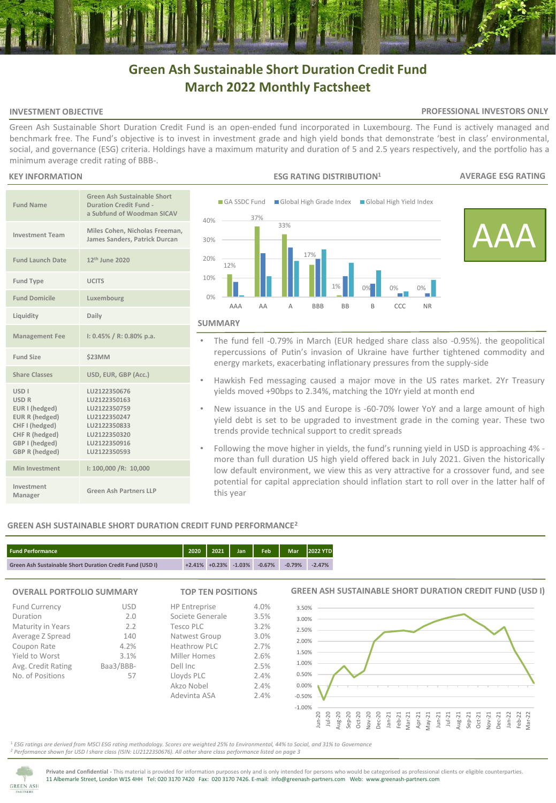# **Green Ash Sustainable Short Duration Credit Fund March 2022 Monthly Factsheet**

#### **INVESTMENT OBJECTIVE**

#### **PROFESSIONAL INVESTORS ONLY**

Green Ash Sustainable Short Duration Credit Fund is an open-ended fund incorporated in Luxembourg. The Fund is actively managed and benchmark free. The Fund's objective is to invest in investment grade and high yield bonds that demonstrate 'best in class' environmental, social, and governance (ESG) criteria. Holdings have a maximum maturity and duration of 5 and 2.5 years respectively, and the portfolio has a minimum average credit rating of BBB-.

#### **KEY INFORMATION**

| <b>Fund Name</b>                                                                                                                             | <b>Green Ash Sustainable Short</b><br><b>Duration Credit Fund -</b><br>a Subfund of Woodman SICAV                            |
|----------------------------------------------------------------------------------------------------------------------------------------------|------------------------------------------------------------------------------------------------------------------------------|
| <b>Investment Team</b>                                                                                                                       | Miles Cohen, Nicholas Freeman,<br>James Sanders, Patrick Durcan                                                              |
| <b>Fund Launch Date</b>                                                                                                                      | 12 <sup>th</sup> June 2020                                                                                                   |
| <b>Fund Type</b>                                                                                                                             | <b>UCITS</b>                                                                                                                 |
| <b>Fund Domicile</b>                                                                                                                         | Luxembourg                                                                                                                   |
| Liquidity                                                                                                                                    | Daily                                                                                                                        |
| <b>Management Fee</b>                                                                                                                        | $1: 0.45\% / R: 0.80\%$ p.a.                                                                                                 |
| <b>Fund Size</b>                                                                                                                             | \$23MM                                                                                                                       |
| <b>Share Classes</b>                                                                                                                         | USD, EUR, GBP (Acc.)                                                                                                         |
| USD <sub>1</sub><br><b>USD R</b><br>EUR I (hedged)<br>EUR R (hedged)<br>CHF I (hedged)<br>CHF R (hedged)<br>GBP I (hedged)<br>GBP R (hedged) | LU2122350676<br>LU2122350163<br>LU2122350759<br>LU2122350247<br>LU2122350833<br>LU2122350320<br>LU2122350916<br>LU2122350593 |
| Min Investment                                                                                                                               | I: 100,000 /R: 10,000                                                                                                        |
| Investment<br>Manager                                                                                                                        | <b>Green Ash Partners LLP</b>                                                                                                |



- The fund fell -0.79% in March (EUR hedged share class also -0.95%). the geopolitical repercussions of Putin's invasion of Ukraine have further tightened commodity and energy markets, exacerbating inflationary pressures from the supply-side
- Hawkish Fed messaging caused a major move in the US rates market. 2Yr Treasury yields moved +90bps to 2.34%, matching the 10Yr yield at month end
- New issuance in the US and Europe is -60-70% lower YoY and a large amount of high yield debt is set to be upgraded to investment grade in the coming year. These two trends provide technical support to credit spreads
- Following the move higher in yields, the fund's running yield in USD is approaching 4% more than full duration US high yield offered back in July 2021. Given the historically low default environment, we view this as very attractive for a crossover fund, and see potential for capital appreciation should inflation start to roll over in the latter half of this year

## **GREEN ASH SUSTAINABLE SHORT DURATION CREDIT FUND PERFORMANCE<sup>2</sup>**



# **OVERALL PORTFOLIO SUMMARY**

| <b>Fund Currency</b> | <b>USD</b> |
|----------------------|------------|
| Duration             | 2.0        |
| Maturity in Years    | 2.2        |
| Average Z Spread     | 140        |
| Coupon Rate          | 4.2%       |
| Yield to Worst       | 3.1%       |
| Avg. Credit Rating   | Baa3/BBB-  |
| No. of Positions     | 57         |
|                      |            |

# **TOP TEN POSITIONS**

4.0% 3.5% 3.2% 3.0% 2.7% 2.6% 2.5%  $2.4\%$ 2.4% 2.4%

HP Entreprise Societe Generale Tesco PLC Natwest Group Heathrow PLC Miller Homes Dell Inc Lloyds PLC Akzo Nobel Adevinta ASA

## **GREEN ASH SUSTAINABLE SHORT DURATION CREDIT FUND (USD I)**



<sup>1</sup> *ESG ratings are derived from MSCI ESG rating methodology. Scores are weighted 25% to Environmental, 44% to Social, and 31% to Governance <sup>2</sup> Performance shown for USD I share class (ISIN: LU2122350676). All other share class performance listed on page 3* 



**Private and Confidential -** This material is provided for information purposes only and is only intended for persons who would be categorised as professional clients or eligible counterparties. 11 Albemarle Street, London W1S 4HH Tel: 020 3170 7420 Fax: 020 3170 7426. E-mail: info@greenash-partners.com Web: www.greenash-partners.com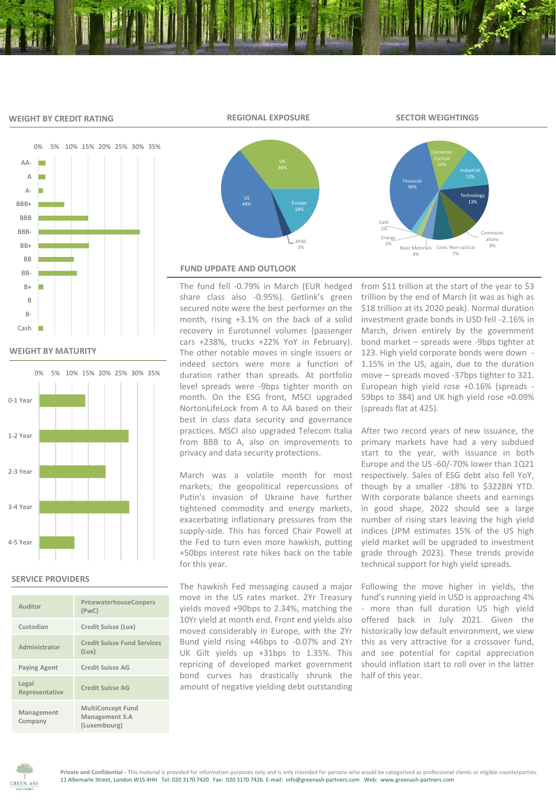## **WEIGHT BY CREDIT RATING**

**REGIONAL EXPOSURE SECTOR WEIGHTINGS**



**WEIGHT BY MATURITY**



### **SERVICE PROVIDERS**

| Auditor                 | PricewaterhouseCoopers<br>(PWC)                            |
|-------------------------|------------------------------------------------------------|
| Custodian               | Credit Suisse (Lux)                                        |
| Administrator           | <b>Credit Suisse Fund Services</b><br>(Lux)                |
| <b>Paying Agent</b>     | <b>Credit Suisse AG</b>                                    |
| Legal<br>Representative | Credit Suisse AG                                           |
| Management<br>Company   | <b>MultiConcept Fund</b><br>Management S.A<br>(Luxembourg) |





#### **FUND UPDATE AND OUTLOOK**

The fund fell -0.79% in March (EUR hedged share class also -0.95%). Getlink's green secured note were the best performer on the month, rising +3.1% on the back of a solid recovery in Eurotunnel volumes (passenger cars +238%, trucks +22% YoY in February). The other notable moves in single issuers or indeed sectors were more a function of duration rather than spreads. At portfolio level spreads were -9bps tighter month on month. On the ESG front, MSCI upgraded NortonLifeLock from A to AA based on their best in class data security and governance practices. MSCI also upgraded Telecom Italia from BBB to A, also on improvements to privacy and data security protections.

March was a volatile month for most markets; the geopolitical repercussions of Putin's invasion of Ukraine have further tightened commodity and energy markets, exacerbating inflationary pressures from the supply-side. This has forced Chair Powell at the Fed to turn even more hawkish, putting +50bps interest rate hikes back on the table for this year.

The hawkish Fed messaging caused a major move in the US rates market. 2Yr Treasury yields moved +90bps to 2.34%, matching the 10Yr yield at month end. Front end yields also moved considerably in Europe, with the 2Yr Bund yield rising +46bps to -0.07% and 2Yr UK Gilt yields up +31bps to 1.35%. This repricing of developed market government bond curves has drastically shrunk the amount of negative yielding debt outstanding

from \$11 trillion at the start of the year to \$3 trillion by the end of March (it was as high as \$18 trillion at its 2020 peak). Normal duration investment grade bonds in USD fell -2.16% in March, driven entirely by the government bond market – spreads were -9bps tighter at 123. High yield corporate bonds were down - 1.15% in the US, again, due to the duration move – spreads moved -37bps tighter to 321. European high yield rose +0.16% (spreads - 59bps to 384) and UK high yield rose +0.09% (spreads flat at 425).

After two record years of new issuance, the primary markets have had a very subdued start to the year, with issuance in both Europe and the US -60/-70% lower than 1Q21 respectively. Sales of ESG debt also fell YoY, though by a smaller -18% to \$322BN YTD. With corporate balance sheets and earnings in good shape, 2022 should see a large number of rising stars leaving the high yield indices (JPM estimates 15% of the US high yield market will be upgraded to investment grade through 2023). These trends provide technical support for high yield spreads.

Following the move higher in yields, the fund's running yield in USD is approaching 4% - more than full duration US high yield offered back in July 2021. Given the historically low default environment, we view this as very attractive for a crossover fund, and see potential for capital appreciation should inflation start to roll over in the latter half of this year.